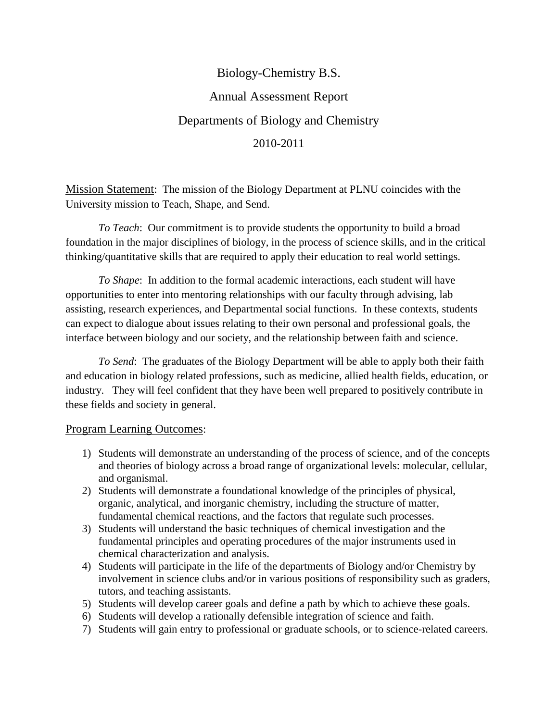# Biology-Chemistry B.S. Annual Assessment Report Departments of Biology and Chemistry 2010-2011

Mission Statement: The mission of the Biology Department at PLNU coincides with the University mission to Teach, Shape, and Send.

*To Teach*: Our commitment is to provide students the opportunity to build a broad foundation in the major disciplines of biology, in the process of science skills, and in the critical thinking/quantitative skills that are required to apply their education to real world settings.

*To Shape*: In addition to the formal academic interactions, each student will have opportunities to enter into mentoring relationships with our faculty through advising, lab assisting, research experiences, and Departmental social functions. In these contexts, students can expect to dialogue about issues relating to their own personal and professional goals, the interface between biology and our society, and the relationship between faith and science.

*To Send*: The graduates of the Biology Department will be able to apply both their faith and education in biology related professions, such as medicine, allied health fields, education, or industry. They will feel confident that they have been well prepared to positively contribute in these fields and society in general.

# Program Learning Outcomes:

- 1) Students will demonstrate an understanding of the process of science, and of the concepts and theories of biology across a broad range of organizational levels: molecular, cellular, and organismal.
- 2) Students will demonstrate a foundational knowledge of the principles of physical, organic, analytical, and inorganic chemistry, including the structure of matter, fundamental chemical reactions, and the factors that regulate such processes.
- 3) Students will understand the basic techniques of chemical investigation and the fundamental principles and operating procedures of the major instruments used in chemical characterization and analysis.
- 4) Students will participate in the life of the departments of Biology and/or Chemistry by involvement in science clubs and/or in various positions of responsibility such as graders, tutors, and teaching assistants.
- 5) Students will develop career goals and define a path by which to achieve these goals.
- 6) Students will develop a rationally defensible integration of science and faith.
- 7) Students will gain entry to professional or graduate schools, or to science-related careers.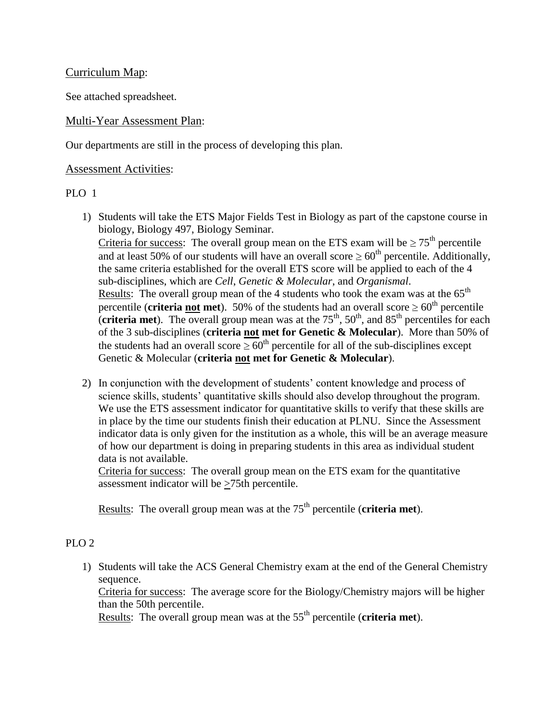#### Curriculum Map:

See attached spreadsheet.

#### Multi-Year Assessment Plan:

Our departments are still in the process of developing this plan.

#### Assessment Activities:

#### PLO 1

1) Students will take the ETS Major Fields Test in Biology as part of the capstone course in biology, Biology 497, Biology Seminar.

Criteria for success: The overall group mean on the ETS exam will be  $\geq 75^{\text{th}}$  percentile and at least 50% of our students will have an overall score  $\geq 60^{th}$  percentile. Additionally, the same criteria established for the overall ETS score will be applied to each of the 4 sub-disciplines, which are *Cell*, *Genetic & Molecular*, and *Organismal*. <u>Results</u>: The overall group mean of the 4 students who took the exam was at the  $65<sup>th</sup>$ percentile (**criteria not met**). 50% of the students had an overall score  $\geq 60^{\text{th}}$  percentile (**criteria met**). The overall group mean was at the  $75<sup>th</sup>$ ,  $50<sup>th</sup>$ , and  $85<sup>th</sup>$  percentiles for each of the 3 sub-disciplines (**criteria not met for Genetic & Molecular**). More than 50% of the students had an overall score  $\geq 60^{th}$  percentile for all of the sub-disciplines except Genetic & Molecular (**criteria not met for Genetic & Molecular**).

2) In conjunction with the development of students' content knowledge and process of science skills, students' quantitative skills should also develop throughout the program. We use the ETS assessment indicator for quantitative skills to verify that these skills are in place by the time our students finish their education at PLNU. Since the Assessment indicator data is only given for the institution as a whole, this will be an average measure of how our department is doing in preparing students in this area as individual student data is not available.

Criteria for success: The overall group mean on the ETS exam for the quantitative assessment indicator will be  $\geq$ 75th percentile.

Results: The overall group mean was at the 75<sup>th</sup> percentile (**criteria met**).

# PLO 2

1) Students will take the ACS General Chemistry exam at the end of the General Chemistry sequence.

Criteria for success: The average score for the Biology/Chemistry majors will be higher than the 50th percentile.

Results: The overall group mean was at the 55<sup>th</sup> percentile (**criteria met**).